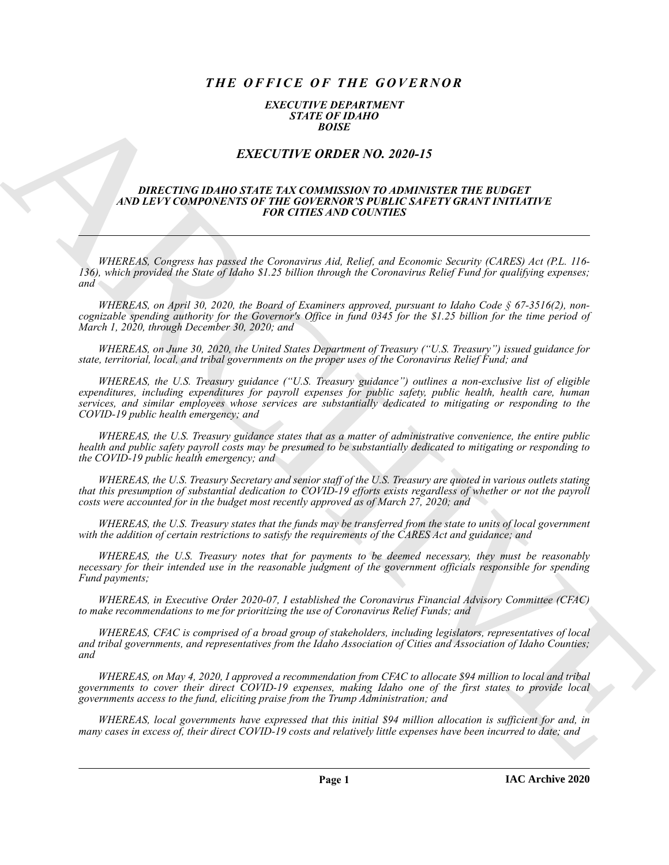# *THE OFFICE OF THE GOVERNOR*

### *EXECUTIVE DEPARTMENT STATE OF IDAHO BOISE*

## *EXECUTIVE ORDER NO. 2020-15*

#### *DIRECTING IDAHO STATE TAX COMMISSION TO ADMINISTER THE BUDGET AND LEVY COMPONENTS OF THE GOVERNOR'S PUBLIC SAFETY GRANT INITIATIVE FOR CITIES AND COUNTIES*

*WHEREAS, Congress has passed the Coronavirus Aid, Relief, and Economic Security (CARES) Act (P.L. 116- 136), which provided the State of Idaho \$1.25 billion through the Coronavirus Relief Fund for qualifying expenses; and*

*WHEREAS, on April 30, 2020, the Board of Examiners approved, pursuant to Idaho Code § 67-3516(2), noncognizable spending authority for the Governor's Office in fund 0345 for the \$1.25 billion for the time period of March 1, 2020, through December 30, 2020; and*

*WHEREAS, on June 30, 2020, the United States Department of Treasury ("U.S. Treasury") issued guidance for state, territorial, local, and tribal governments on the proper uses of the Coronavirus Relief Fund; and*

**EXACTLY THE ORDER NO. 2020-15**<br>
EXACTLY THE ORDER NO. 2020-15<br>
EXACTLY THE ORDER NO. 2020-15<br>
EXACTLY THE ORDER NO. 2020-15<br>
ARCHIVENESS OF THE COMMENSION TO ADMISSION THE ENDERGAL PROPERTY.<br>
THERE AS, Compare has papel *WHEREAS, the U.S. Treasury guidance ("U.S. Treasury guidance") outlines a non-exclusive list of eligible expenditures, including expenditures for payroll expenses for public safety, public health, health care, human services, and similar employees whose services are substantially dedicated to mitigating or responding to the COVID-19 public health emergency; and*

*WHEREAS, the U.S. Treasury guidance states that as a matter of administrative convenience, the entire public health and public safety payroll costs may be presumed to be substantially dedicated to mitigating or responding to the COVID-19 public health emergency; and*

*WHEREAS, the U.S. Treasury Secretary and senior staff of the U.S. Treasury are quoted in various outlets stating that this presumption of substantial dedication to COVID-19 efforts exists regardless of whether or not the payroll costs were accounted for in the budget most recently approved as of March 27, 2020; and*

*WHEREAS, the U.S. Treasury states that the funds may be transferred from the state to units of local government with the addition of certain restrictions to satisfy the requirements of the CARES Act and guidance; and*

*WHEREAS, the U.S. Treasury notes that for payments to be deemed necessary, they must be reasonably necessary for their intended use in the reasonable judgment of the government officials responsible for spending Fund payments;*

*WHEREAS, in Executive Order 2020-07, I established the Coronavirus Financial Advisory Committee (CFAC) to make recommendations to me for prioritizing the use of Coronavirus Relief Funds; and*

*WHEREAS, CFAC is comprised of a broad group of stakeholders, including legislators, representatives of local and tribal governments, and representatives from the Idaho Association of Cities and Association of Idaho Counties; and*

*WHEREAS, on May 4, 2020, I approved a recommendation from CFAC to allocate \$94 million to local and tribal governments to cover their direct COVID-19 expenses, making Idaho one of the first states to provide local governments access to the fund, eliciting praise from the Trump Administration; and*

*WHEREAS, local governments have expressed that this initial \$94 million allocation is sufficient for and, in many cases in excess of, their direct COVID-19 costs and relatively little expenses have been incurred to date; and*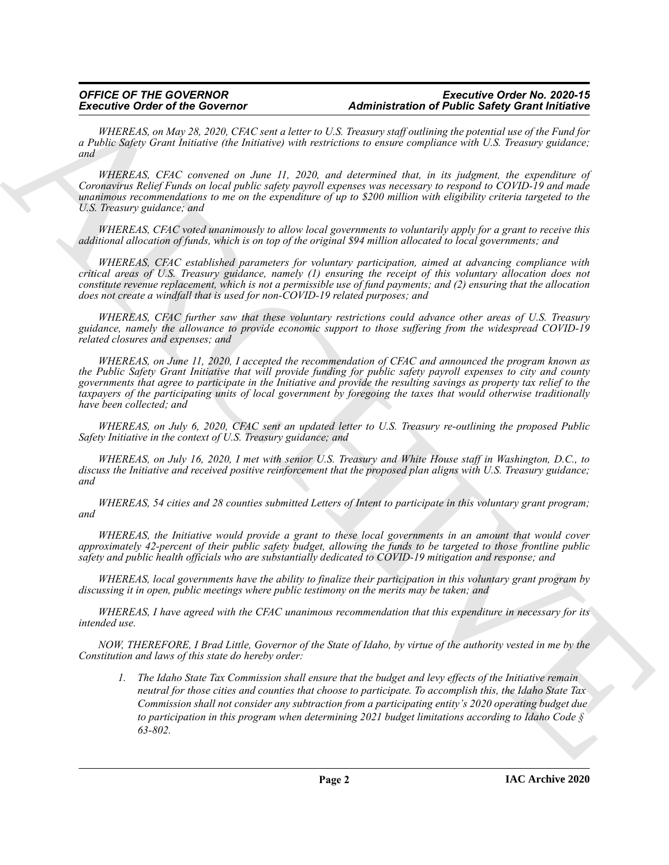### *OFFICE OF THE GOVERNOR Executive Order No. 2020-15* **Administration of Public Safety Grant Initiative**

*WHEREAS, on May 28, 2020, CFAC sent a letter to U.S. Treasury staff outlining the potential use of the Fund for a Public Safety Grant Initiative (the Initiative) with restrictions to ensure compliance with U.S. Treasury guidance; and*

*WHEREAS, CFAC convened on June 11, 2020, and determined that, in its judgment, the expenditure of Coronavirus Relief Funds on local public safety payroll expenses was necessary to respond to COVID-19 and made unanimous recommendations to me on the expenditure of up to \$200 million with eligibility criteria targeted to the U.S. Treasury guidance; and*

*WHEREAS, CFAC voted unanimously to allow local governments to voluntarily apply for a grant to receive this additional allocation of funds, which is on top of the original \$94 million allocated to local governments; and*

*WHEREAS, CFAC established parameters for voluntary participation, aimed at advancing compliance with critical areas of U.S. Treasury guidance, namely (1) ensuring the receipt of this voluntary allocation does not constitute revenue replacement, which is not a permissible use of fund payments; and (2) ensuring that the allocation does not create a windfall that is used for non-COVID-19 related purposes; and*

*WHEREAS, CFAC further saw that these voluntary restrictions could advance other areas of U.S. Treasury guidance, namely the allowance to provide economic support to those suffering from the widespread COVID-19 related closures and expenses; and*

*WHEREAS, on June 11, 2020, I accepted the recommendation of CFAC and announced the program known as the Public Safety Grant Initiative that will provide funding for public safety payroll expenses to city and county governments that agree to participate in the Initiative and provide the resulting savings as property tax relief to the taxpayers of the participating units of local government by foregoing the taxes that would otherwise traditionally have been collected; and*

*WHEREAS, on July 6, 2020, CFAC sent an updated letter to U.S. Treasury re-outlining the proposed Public Safety Initiative in the context of U.S. Treasury guidance; and*

*WHEREAS, on July 16, 2020, I met with senior U.S. Treasury and White House staff in Washington, D.C., to discuss the Initiative and received positive reinforcement that the proposed plan aligns with U.S. Treasury guidance; and*

*WHEREAS, 54 cities and 28 counties submitted Letters of Intent to participate in this voluntary grant program; and*

*WHEREAS, the Initiative would provide a grant to these local governments in an amount that would cover approximately 42-percent of their public safety budget, allowing the funds to be targeted to those frontline public safety and public health officials who are substantially dedicated to COVID-19 mitigation and response; and*

*WHEREAS, local governments have the ability to finalize their participation in this voluntary grant program by discussing it in open, public meetings where public testimony on the merits may be taken; and*

*WHEREAS, I have agreed with the CFAC unanimous recommendation that this expenditure in necessary for its intended use.*

*NOW, THEREFORE, I Brad Little, Governor of the State of Idaho, by virtue of the authority vested in me by the Constitution and laws of this state do hereby order:*

Excessive Corbit of the Governor one and 21 the main start of the Holid Excessive Corbit of the Singlet Corbit of the Singlet Core in the Core in the Core in the Core in the Core in the Core in the Core in the Core in the *1. The Idaho State Tax Commission shall ensure that the budget and levy effects of the Initiative remain neutral for those cities and counties that choose to participate. To accomplish this, the Idaho State Tax Commission shall not consider any subtraction from a participating entity's 2020 operating budget due to participation in this program when determining 2021 budget limitations according to Idaho Code § 63-802.*